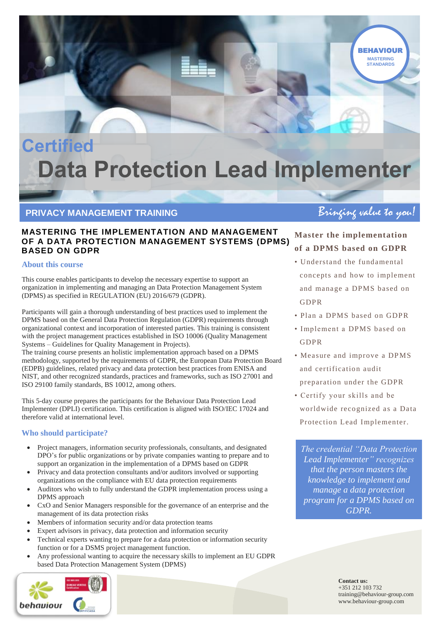# **Certified Data Protection Lead Implementer**

# PRIVACY MANAGEMENT TRAINING **Bring of Bringing value to you!**

## **MASTERING THE IMPLEMENTATION AND MANAGEMENT OF A DATA PROTECTION MANAGEMENT SYSTEMS (DPMS) BASED ON GDPR**

## **About this course**

This course enables participants to develop the necessary expertise to support an organization in implementing and managing an Data Protection Management System (DPMS) as specified in REGULATION (EU) 2016/679 (GDPR).

Participants will gain a thorough understanding of best practices used to implement the DPMS based on the General Data Protection Regulation (GDPR) requirements through organizational context and incorporation of interested parties. This training is consistent with the project management practices established in ISO 10006 (Quality Management Systems – Guidelines for Quality Management in Projects).

The training course presents an holistic implementation approach based on a DPMS methodology, supported by the requirements of GDPR, the European Data Protection Board (EDPB) guidelines, related privacy and data protection best practices from ENISA and NIST, and other recognized standards, practices and frameworks, such as ISO 27001 and ISO 29100 family standards, BS 10012, among others.

This 5-day course prepares the participants for the Behaviour Data Protection Lead Implementer (DPLI) certification. This certification is aligned with ISO/IEC 17024 and therefore valid at international level.

## **Who should participate?**

- Project managers, information security professionals, consultants, and designated DPO's for public organizations or by private companies wanting to prepare and to support an organization in the implementation of a DPMS based on GDPR
- Privacy and data protection consultants and/or auditors involved or supporting organizations on the compliance with EU data protection requirements
- Auditors who wish to fully understand the GDPR implementation process using a DPMS approach
- CxO and Senior Managers responsible for the governance of an enterprise and the management of its data protection risks
- Members of information security and/or data protection teams
- Expert advisors in privacy, data protection and information security
- Technical experts wanting to prepare for a data protection or information security function or for a DSMS project management function.
- Any professional wanting to acquire the necessary skills to implement an EU GDPR based Data Protection Management System (DPMS)



**MASTERING STANDARDS BEHAVIOUR** 

# **Master the implementation of a DPMS based on GDPR**

- Understand the fundamental concepts and how to implement and manage a DPMS based on GDPR
- Plan a DPMS based on GDPR
- Implement a DPMS based on GDPR
- Measure and improve a DPMS and certification audit preparation under the GDPR
- Certify your skills and be world wide recognized as a Data Protection Lead Implementer.

*The credential "Data Protection Lead Implementer" recognizes that the person masters the knowledge to implement and manage a data protection program for a DPMS based on GDPR.*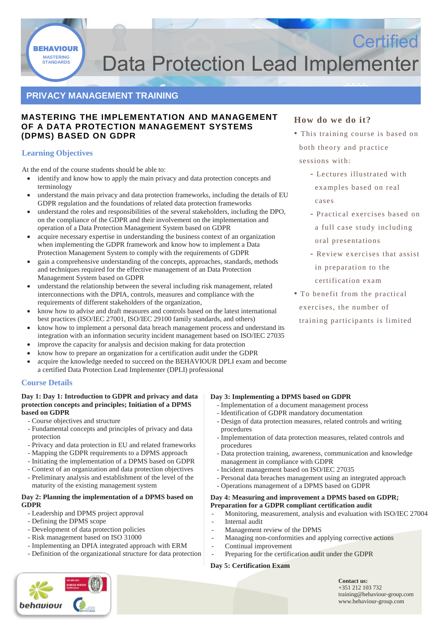**STANDARDS** BEHAVIOUR

# **STANDARDS Data Protection Lead Implementer**

# **PRIVACY MANAGEMENT TRAINING**

## **MASTERING THE IMPLEMENTATION AND MANAGEMENT OF A DATA PROTECTION MANAGEMENT SYSTEMS (DPMS) BASED ON GDPR**

## **Learning Objectives**

At the end of the course students should be able to:

- identify and know how to apply the main privacy and data protection concepts and terminology
- understand the main privacy and data protection frameworks, including the details of EU GDPR regulation and the foundations of related data protection frameworks
- understand the roles and responsibilities of the several stakeholders, including the DPO, on the compliance of the GDPR and their involvement on the implementation and operation of a Data Protection Management System based on GDPR
- acquire necessary expertise in understanding the business context of an organization when implementing the GDPR framework and know how to implement a Data Protection Management System to comply with the requirements of GDPR
- gain a comprehensive understanding of the concepts, approaches, standards, methods and techniques required for the effective management of an Data Protection Management System based on GDPR
- understand the relationship between the several including risk management, related interconnections with the DPIA, controls, measures and compliance with the requirements of different stakeholders of the organization,
- know how to advise and draft measures and controls based on the latest international best practices (ISO/IEC 27001, ISO/IEC 29100 family standards, and others)
- know how to implement a personal data breach management process and understand its integration with an information security incident management based on ISO/IEC 27035
- improve the capacity for analysis and decision making for data protection
- know how to prepare an organization for a certification audit under the GDPR
- acquire the knowledge needed to succeed on the BEHAVIOUR DPLI exam and become a certified Data Protection Lead Implementer (DPLI) professional

## **Course Details**

#### **Day 1: Day 1: Introduction to GDPR and privacy and data protection concepts and principles; Initiation of a DPMS based on GDPR**

- Course objectives and structure
- Fundamental concepts and principles of privacy and data protection
- Privacy and data protection in EU and related frameworks
- Mapping the GDPR requirements to a DPMS approach
- Initiating the implementation of a DPMS based on GDPR
- Context of an organization and data protection objectives
- Preliminary analysis and establishment of the level of the
- maturity of the existing management system

### **Day 2: Planning the implementation of a DPMS based on GDPR**

- Leadership and DPMS project approval
- Defining the DPMS scope
- Development of data protection policies
- Risk management based on ISO 31000
- Implementing an DPIA integrated approach with ERM
- Definition of the organizational structure for data protection



## **How do we do it?**

• This training course is based on both theory and practice sessions with:

**Certified** 

- Lectures illustrated with examples based on real cases
- Practical exercises based on a full case study including oral presentations
- Review exercises that assist in preparation to the
- certification exam
- To benefit from the practical exercises, the number of training participants is limited

## **Day 3: Implementing a DPMS based on GDPR**

- Implementation of a document management process
- Identification of GDPR mandatory documentation
- Design of data protection measures, related controls and writing procedures
- Implementation of data protection measures, related controls and procedures
- Data protection training, awareness, communication and knowledge management in compliance with GDPR
- Incident management based on ISO/IEC 27035
- Personal data breaches management using an integrated approach
- Operations management of a DPMS based on GDPR

#### **Day 4: Measuring and improvement a DPMS based on GDPR; Preparation for a GDPR compliant certification audit**

- Monitoring, measurement, analysis and evaluation with ISO/IEC 27004
- Internal audit
- Management review of the DPMS
- Managing non-conformities and applying corrective actions
- Continual improvement Preparing for the certification audit under the GDPR

## **Day 5: Certification Exam**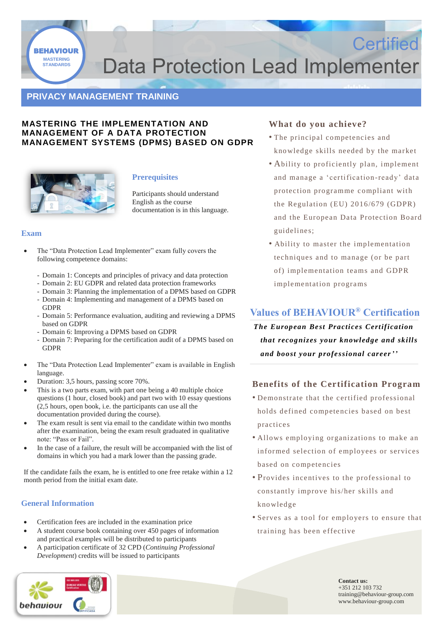

# **STANDARDS Data Protection Lead Implementer**

# **PRIVACY MANAGEMENT TRAINING**

## **MASTERING THE IMPLEMENTATION AND MANAGEMENT OF A DATA PROTECTION MANAGEMENT SYSTEMS (DPMS) BASED ON GDPR**



## **Prerequisites**

Participants should understand English as the course documentation is in this language.

#### **Exam**

- The "Data Protection Lead Implementer" exam fully covers the following competence domains:
	- Domain 1: Concepts and principles of privacy and data protection
	- Domain 2: EU GDPR and related data protection frameworks
	- Domain 3: Planning the implementation of a DPMS based on GDPR - Domain 4: Implementing and management of a DPMS based on
	- GDPR
	- Domain 5: Performance evaluation, auditing and reviewing a DPMS based on GDPR
	- Domain 6: Improving a DPMS based on GDPR
	- Domain 7: Preparing for the certification audit of a DPMS based on GDPR
- The "Data Protection Lead Implementer" exam is available in English language.
- Duration: 3,5 hours, passing score 70%.
- This is a two parts exam, with part one being a 40 multiple choice questions (1 hour, closed book) and part two with 10 essay questions (2,5 hours, open book, i.e. the participants can use all the documentation provided during the course).
- The exam result is sent via email to the candidate within two months after the examination, being the exam result graduated in qualitative note: "Pass or Fail".
- In the case of a failure, the result will be accompanied with the list of domains in which you had a mark lower than the passing grade.

If the candidate fails the exam, he is entitled to one free retake within a 12 month period from the initial exam date.

## **General Information**

- Certification fees are included in the examination price
- A student course book containing over 450 pages of information and practical examples will be distributed to participants
- A participation certificate of 32 CPD (*Continuing Professional Development*) credits will be issued to participants



## **What do you achieve?**

• The principal competencies and kno wledge skills needed by the market

**Certified** 

- Ability to proficiently plan, implement and manage a 'certification-ready' data protection programme compliant with the Regulation (EU) 2016/679 (GDPR) and the European Data Protection Board guidelines;
- Ability to master the implementation techniques and to manage (or be part of) implementation teams and GDPR implementation programs

# **Values of BEHAVIOUR® Certification**

*The European Best Practices Certification that recognizes your knowledge and skills and boost your professional career''*

## **Benefits of the Certification Program**

- Demonstrate that the certified professional holds defined competencies based on best practices
- Allows employing organizations to make an informed selection of employees or services based on competencies
- Provides incentives to the professional to constantly improve his/her skills and kno wledge
- Serves as a tool for employers to ensure that training has been effective